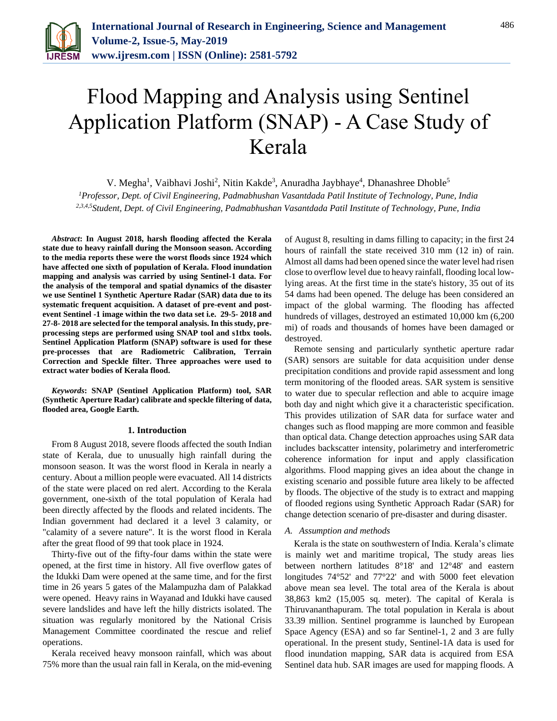

# Flood Mapping and Analysis using Sentinel Application Platform (SNAP) - A Case Study of Kerala

V. Megha<sup>1</sup>, Vaibhavi Joshi<sup>2</sup>, Nitin Kakde<sup>3</sup>, Anuradha Jaybhaye<sup>4</sup>, Dhanashree Dhoble<sup>5</sup>

*<sup>1</sup>Professor, Dept. of Civil Engineering, Padmabhushan Vasantdada Patil Institute of Technology, Pune, India 2,3,4,5Student, Dept. of Civil Engineering, Padmabhushan Vasantdada Patil Institute of Technology, Pune, India*

*Abstract***: In August 2018, harsh flooding affected the Kerala state due to heavy rainfall during the Monsoon season. According to the media reports these were the worst floods since 1924 which have affected one sixth of population of Kerala. Flood inundation mapping and analysis was carried by using Sentinel-1 data. For the analysis of the temporal and spatial dynamics of the disaster we use Sentinel 1 Synthetic Aperture Radar (SAR) data due to its systematic frequent acquisition. A dataset of pre-event and postevent Sentinel -1 image within the two data set i.e. 29-5- 2018 and 27-8- 2018 are selected for the temporal analysis. In this study, preprocessing steps are performed using SNAP tool and s1tbx tools. Sentinel Application Platform (SNAP) software is used for these pre-processes that are Radiometric Calibration, Terrain Correction and Speckle filter. Three approaches were used to extract water bodies of Kerala flood.** 

*Keywords***: SNAP (Sentinel Application Platform) tool, SAR (Synthetic Aperture Radar) calibrate and speckle filtering of data, flooded area, Google Earth.** 

#### **1. Introduction**

From 8 August 2018, severe floods affected the south Indian state of Kerala, due to unusually high rainfall during the monsoon season. It was the worst flood in Kerala in nearly a century. About a million people were evacuated. All 14 districts of the state were placed on red alert. According to the Kerala government, one-sixth of the total population of Kerala had been directly affected by the floods and related incidents. The Indian government had declared it a level 3 calamity, or "calamity of a severe nature". It is the worst flood in Kerala after the great flood of 99 that took place in 1924.

Thirty-five out of the fifty-four dams within the state were opened, at the first time in history. All five overflow gates of the Idukki Dam were opened at the same time, and for the first time in 26 years 5 gates of the Malampuzha dam of Palakkad were opened. Heavy rains in Wayanad and Idukki have caused severe landslides and have left the hilly districts isolated. The situation was regularly monitored by the National Crisis Management Committee coordinated the rescue and relief operations.

Kerala received heavy monsoon rainfall, which was about 75% more than the usual rain fall in Kerala, on the mid-evening

of August 8, resulting in dams filling to capacity; in the first 24 hours of rainfall the state received 310 mm (12 in) of rain. Almost all dams had been opened since the water level had risen close to overflow level due to heavy rainfall, flooding local lowlying areas. At the first time in the state's history, 35 out of its 54 dams had been opened. The deluge has been considered an impact of the global warming. The flooding has affected hundreds of villages, destroyed an estimated 10,000 km (6,200 mi) of roads and thousands of homes have been damaged or destroyed.

Remote sensing and particularly synthetic aperture radar (SAR) sensors are suitable for data acquisition under dense precipitation conditions and provide rapid assessment and long term monitoring of the flooded areas. SAR system is sensitive to water due to specular reflection and able to acquire image both day and night which give it a characteristic specification. This provides utilization of SAR data for surface water and changes such as flood mapping are more common and feasible than optical data. Change detection approaches using SAR data includes backscatter intensity, polarimetry and interferometric coherence information for input and apply classification algorithms. Flood mapping gives an idea about the change in existing scenario and possible future area likely to be affected by floods. The objective of the study is to extract and mapping of flooded regions using Synthetic Approach Radar (SAR) for change detection scenario of pre-disaster and during disaster.

### *A. Assumption and methods*

Kerala is the state on southwestern of India. Kerala's climate is mainly wet and maritime tropical, The study areas lies between northern latitudes 8°18' and 12°48' and eastern longitudes 74°52' and 77°22' and with 5000 feet elevation above mean sea level. The total area of the Kerala is about 38,863 km2 (15,005 sq. meter). The capital of Kerala is Thiruvananthapuram. The total population in Kerala is about 33.39 million. Sentinel programme is launched by European Space Agency (ESA) and so far Sentinel-1, 2 and 3 are fully operational. In the present study, Sentinel-1A data is used for flood inundation mapping, SAR data is acquired from ESA Sentinel data hub. SAR images are used for mapping floods. A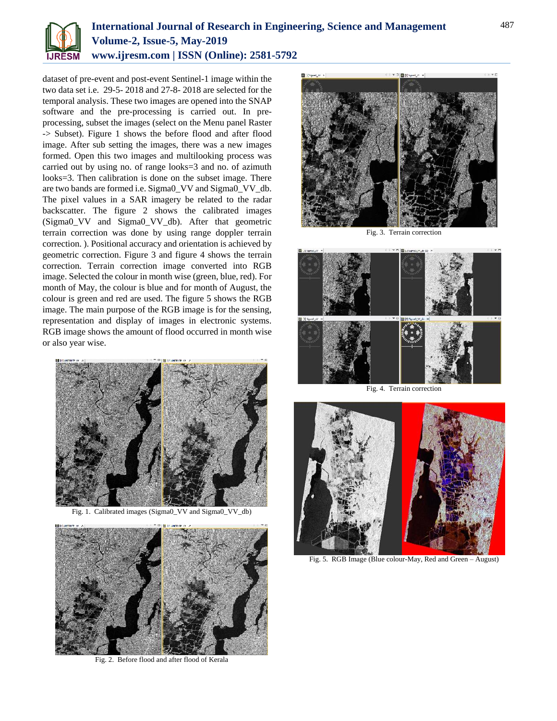

# **International Journal of Research in Engineering, Science and Management Volume-2, Issue-5, May-2019 www.ijresm.com | ISSN (Online): 2581-5792**

dataset of pre-event and post-event Sentinel-1 image within the two data set i.e. 29-5- 2018 and 27-8- 2018 are selected for the temporal analysis. These two images are opened into the SNAP software and the pre-processing is carried out. In preprocessing, subset the images (select on the Menu panel Raster -> Subset). Figure 1 shows the before flood and after flood image. After sub setting the images, there was a new images formed. Open this two images and multilooking process was carried out by using no. of range looks=3 and no. of azimuth looks=3. Then calibration is done on the subset image. There are two bands are formed i.e. Sigma0\_VV and Sigma0\_VV\_db. The pixel values in a SAR imagery be related to the radar backscatter. The figure 2 shows the calibrated images (Sigma0\_VV and Sigma0\_VV\_db). After that geometric terrain correction was done by using range doppler terrain correction. ). Positional accuracy and orientation is achieved by geometric correction. Figure 3 and figure 4 shows the terrain correction. Terrain correction image converted into RGB image. Selected the colour in month wise (green, blue, red). For month of May, the colour is blue and for month of August, the colour is green and red are used. The figure 5 shows the RGB image. The main purpose of the RGB image is for the sensing, representation and display of images in electronic systems. RGB image shows the amount of flood occurred in month wise or also year wise.



Fig. 1. Calibrated images (Sigma0\_VV and Sigma0\_VV\_db)



Fig. 2. Before flood and after flood of Kerala



Fig. 3. Terrain correction



Fig. 4. Terrain correction



Fig. 5. RGB Image (Blue colour-May, Red and Green – August)